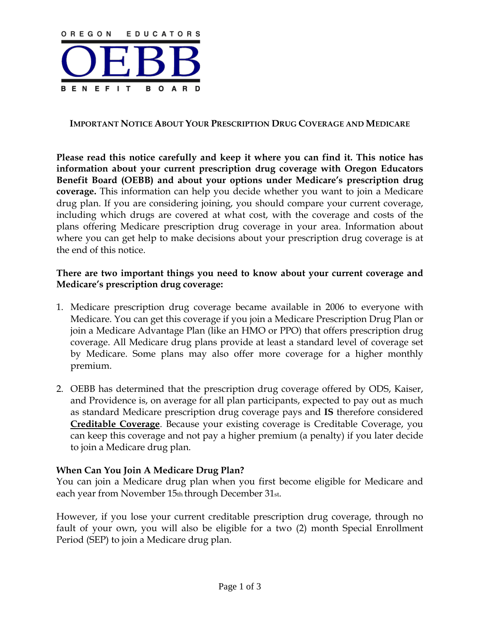

#### **IMPORTANT NOTICE ABOUT YOUR PRESCRIPTION DRUG COVERAGE AND MEDICARE**

**Please read this notice carefully and keep it where you can find it. This notice has information about your current prescription drug coverage with Oregon Educators Benefit Board (OEBB) and about your options under Medicare's prescription drug coverage.** This information can help you decide whether you want to join a Medicare drug plan. If you are considering joining, you should compare your current coverage, including which drugs are covered at what cost, with the coverage and costs of the plans offering Medicare prescription drug coverage in your area. Information about where you can get help to make decisions about your prescription drug coverage is at the end of this notice.

#### **There are two important things you need to know about your current coverage and Medicare's prescription drug coverage:**

- 1. Medicare prescription drug coverage became available in 2006 to everyone with Medicare. You can get this coverage if you join a Medicare Prescription Drug Plan or join a Medicare Advantage Plan (like an HMO or PPO) that offers prescription drug coverage. All Medicare drug plans provide at least a standard level of coverage set by Medicare. Some plans may also offer more coverage for a higher monthly premium.
- 2. OEBB has determined that the prescription drug coverage offered by ODS, Kaiser, and Providence is, on average for all plan participants, expected to pay out as much as standard Medicare prescription drug coverage pays and **IS** therefore considered **Creditable Coverage**. Because your existing coverage is Creditable Coverage, you can keep this coverage and not pay a higher premium (a penalty) if you later decide to join a Medicare drug plan.

### **When Can You Join A Medicare Drug Plan?**

You can join a Medicare drug plan when you first become eligible for Medicare and each year from November 15th through December 31st.

However, if you lose your current creditable prescription drug coverage, through no fault of your own, you will also be eligible for a two (2) month Special Enrollment Period (SEP) to join a Medicare drug plan.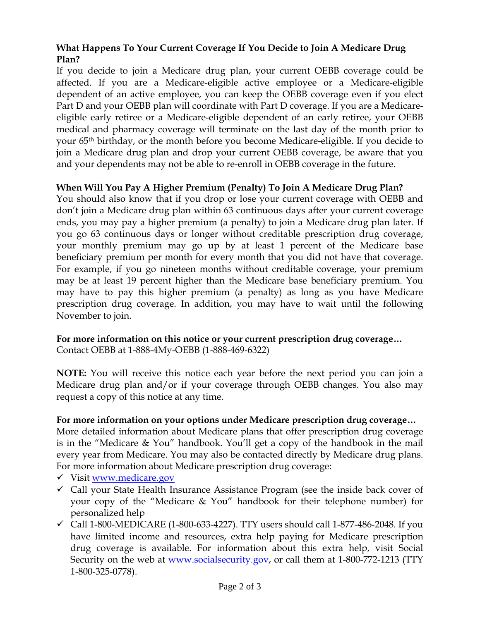# **What Happens To Your Current Coverage If You Decide to Join A Medicare Drug Plan?**

If you decide to join a Medicare drug plan, your current OEBB coverage could be affected. If you are a Medicare-eligible active employee or a Medicare-eligible dependent of an active employee, you can keep the OEBB coverage even if you elect Part D and your OEBB plan will coordinate with Part D coverage. If you are a Medicareeligible early retiree or a Medicare-eligible dependent of an early retiree, your OEBB medical and pharmacy coverage will terminate on the last day of the month prior to your 65th birthday, or the month before you become Medicare-eligible. If you decide to join a Medicare drug plan and drop your current OEBB coverage, be aware that you and your dependents may not be able to re-enroll in OEBB coverage in the future.

# **When Will You Pay A Higher Premium (Penalty) To Join A Medicare Drug Plan?**

You should also know that if you drop or lose your current coverage with OEBB and don't join a Medicare drug plan within 63 continuous days after your current coverage ends, you may pay a higher premium (a penalty) to join a Medicare drug plan later. If you go 63 continuous days or longer without creditable prescription drug coverage, your monthly premium may go up by at least 1 percent of the Medicare base beneficiary premium per month for every month that you did not have that coverage. For example, if you go nineteen months without creditable coverage, your premium may be at least 19 percent higher than the Medicare base beneficiary premium. You may have to pay this higher premium (a penalty) as long as you have Medicare prescription drug coverage. In addition, you may have to wait until the following November to join.

# **For more information on this notice or your current prescription drug coverage…**

Contact OEBB at 1-888-4My-OEBB (1-888-469-6322)

**NOTE:** You will receive this notice each year before the next period you can join a Medicare drug plan and/or if your coverage through OEBB changes. You also may request a copy of this notice at any time.

### **For more information on your options under Medicare prescription drug coverage…**

More detailed information about Medicare plans that offer prescription drug coverage is in the "Medicare & You" handbook. You'll get a copy of the handbook in the mail every year from Medicare. You may also be contacted directly by Medicare drug plans. For more information about Medicare prescription drug coverage:

- 9 Visit [www.medicare.gov](http://www.medicare.gov/)
- $\checkmark$  Call your State Health Insurance Assistance Program (see the inside back cover of your copy of the "Medicare & You" handbook for their telephone number) for personalized help
- $\checkmark$  Call 1-800-MEDICARE (1-800-633-4227). TTY users should call 1-877-486-2048. If you have limited income and resources, extra help paying for Medicare prescription drug coverage is available. For information about this extra help, visit Social Security on the web at www.socialsecurity.gov, or call them at 1-800-772-1213 (TTY 1-800-325-0778).